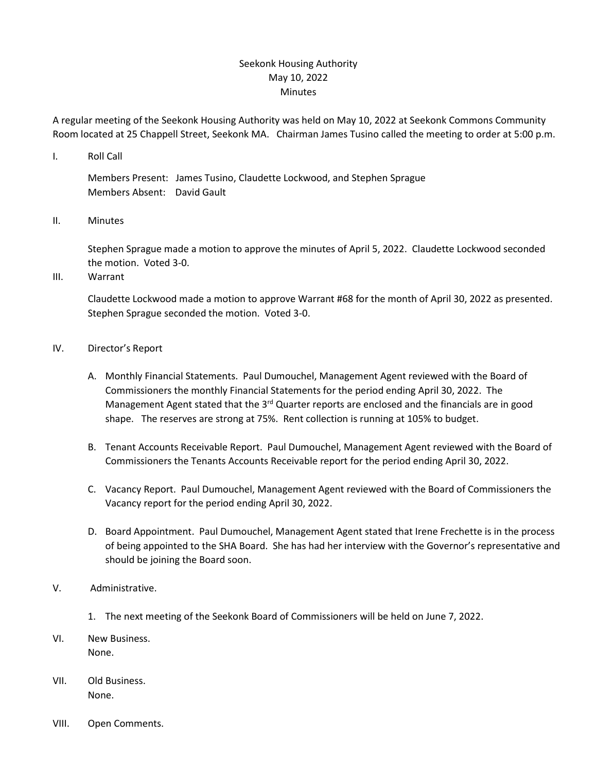## Seekonk Housing Authority May 10, 2022 Minutes

A regular meeting of the Seekonk Housing Authority was held on May 10, 2022 at Seekonk Commons Community Room located at 25 Chappell Street, Seekonk MA. Chairman James Tusino called the meeting to order at 5:00 p.m.

I. Roll Call

Members Present: James Tusino, Claudette Lockwood, and Stephen Sprague Members Absent: David Gault

II. Minutes

Stephen Sprague made a motion to approve the minutes of April 5, 2022. Claudette Lockwood seconded the motion. Voted 3-0.

III. Warrant

Claudette Lockwood made a motion to approve Warrant #68 for the month of April 30, 2022 as presented. Stephen Sprague seconded the motion. Voted 3-0.

- IV. Director's Report
	- A. Monthly Financial Statements. Paul Dumouchel, Management Agent reviewed with the Board of Commissioners the monthly Financial Statements for the period ending April 30, 2022. The Management Agent stated that the  $3<sup>rd</sup>$  Quarter reports are enclosed and the financials are in good shape. The reserves are strong at 75%. Rent collection is running at 105% to budget.
	- B. Tenant Accounts Receivable Report. Paul Dumouchel, Management Agent reviewed with the Board of Commissioners the Tenants Accounts Receivable report for the period ending April 30, 2022.
	- C. Vacancy Report. Paul Dumouchel, Management Agent reviewed with the Board of Commissioners the Vacancy report for the period ending April 30, 2022.
	- D. Board Appointment. Paul Dumouchel, Management Agent stated that Irene Frechette is in the process of being appointed to the SHA Board. She has had her interview with the Governor's representative and should be joining the Board soon.
- V. Administrative.
	- 1. The next meeting of the Seekonk Board of Commissioners will be held on June 7, 2022.
- VI. New Business. None.
- VII. Old Business. None.
- VIII. Open Comments.